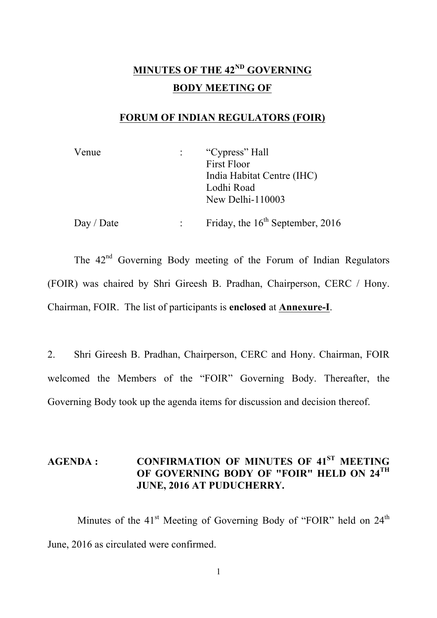# **MINUTES OF THE 42ND GOVERNING BODY MEETING OF**

### **FORUM OF INDIAN REGULATORS (FOIR)**

| Venue | "Cypress" Hall             |
|-------|----------------------------|
|       | <b>First Floor</b>         |
|       | India Habitat Centre (IHC) |
|       | Lodhi Road                 |
|       | New Delhi-110003           |
|       |                            |

**Day** / Date : Friday, the 16<sup>th</sup> September, 2016

The 42<sup>nd</sup> Governing Body meeting of the Forum of Indian Regulators (FOIR) was chaired by Shri Gireesh B. Pradhan, Chairperson, CERC / Hony. Chairman, FOIR. The list of participants is **enclosed** at **Annexure-I**.

2. Shri Gireesh B. Pradhan, Chairperson, CERC and Hony. Chairman, FOIR welcomed the Members of the "FOIR" Governing Body. Thereafter, the Governing Body took up the agenda items for discussion and decision thereof.

## **AGENDA : CONFIRMATION OF MINUTES OF 41ST MEETING OF GOVERNING BODY OF "FOIR" HELD ON 24TH JUNE, 2016 AT PUDUCHERRY.**

Minutes of the 41<sup>st</sup> Meeting of Governing Body of "FOIR" held on 24<sup>th</sup> June, 2016 as circulated were confirmed.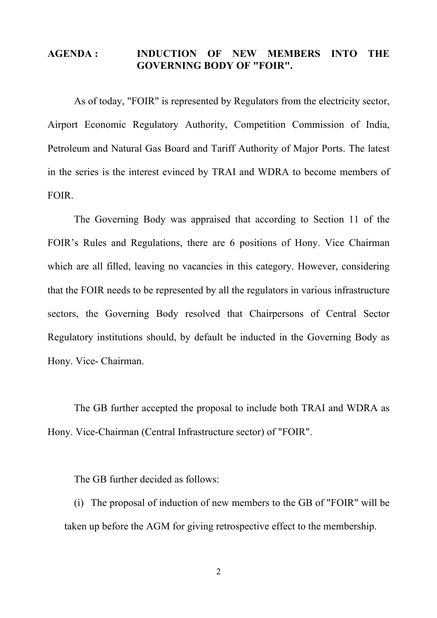#### **AGENDA : INDUCTION OF NEW MEMBERS INTO THE GOVERNING BODY OF "FOIR".**

As of today, "FOIR" is represented by Regulators from the electricity sector, Airport Economic Regulatory Authority, Competition Commission of India, Petroleum and Natural Gas Board and Tariff Authority of Major Ports. The latest in the series is the interest evinced by TRAI and WDRA to become members of FOIR.

The Governing Body was appraised that according to Section 11 of the FOIR's Rules and Regulations, there are 6 positions of Hony. Vice Chairman which are all filled, leaving no vacancies in this category. However, considering that the FOIR needs to be represented by all the regulators in various infrastructure sectors, the Governing Body resolved that Chairpersons of Central Sector Regulatory institutions should, by default be inducted in the Governing Body as Hony. Vice- Chairman.

The GB further accepted the proposal to include both TRAI and WDRA as Hony. Vice-Chairman (Central Infrastructure sector) of "FOIR".

The GB further decided as follows:

(i) The proposal of induction of new members to the GB of "FOIR" will be taken up before the AGM for giving retrospective effect to the membership.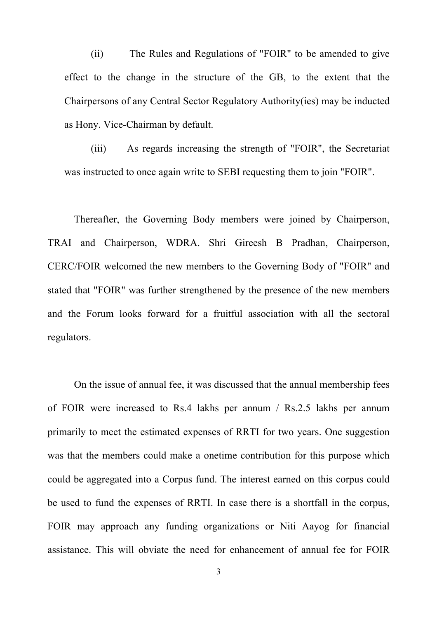(ii) The Rules and Regulations of "FOIR" to be amended to give effect to the change in the structure of the GB, to the extent that the Chairpersons of any Central Sector Regulatory Authority(ies) may be inducted as Hony. Vice-Chairman by default.

(iii) As regards increasing the strength of "FOIR", the Secretariat was instructed to once again write to SEBI requesting them to join "FOIR".

Thereafter, the Governing Body members were joined by Chairperson, TRAI and Chairperson, WDRA. Shri Gireesh B Pradhan, Chairperson, CERC/FOIR welcomed the new members to the Governing Body of "FOIR" and stated that "FOIR" was further strengthened by the presence of the new members and the Forum looks forward for a fruitful association with all the sectoral regulators.

On the issue of annual fee, it was discussed that the annual membership fees of FOIR were increased to Rs.4 lakhs per annum / Rs.2.5 lakhs per annum primarily to meet the estimated expenses of RRTI for two years. One suggestion was that the members could make a onetime contribution for this purpose which could be aggregated into a Corpus fund. The interest earned on this corpus could be used to fund the expenses of RRTI. In case there is a shortfall in the corpus, FOIR may approach any funding organizations or Niti Aayog for financial assistance. This will obviate the need for enhancement of annual fee for FOIR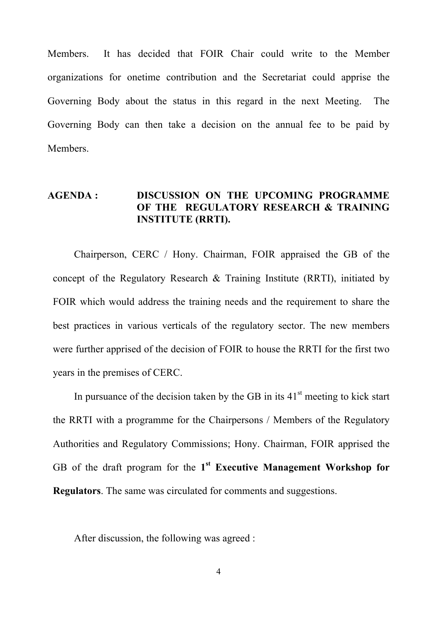Members. It has decided that FOIR Chair could write to the Member organizations for onetime contribution and the Secretariat could apprise the Governing Body about the status in this regard in the next Meeting. The Governing Body can then take a decision on the annual fee to be paid by Members.

#### **AGENDA : DISCUSSION ON THE UPCOMING PROGRAMME OF THE REGULATORY RESEARCH & TRAINING INSTITUTE (RRTI).**

Chairperson, CERC / Hony. Chairman, FOIR appraised the GB of the concept of the Regulatory Research & Training Institute (RRTI), initiated by FOIR which would address the training needs and the requirement to share the best practices in various verticals of the regulatory sector. The new members were further apprised of the decision of FOIR to house the RRTI for the first two years in the premises of CERC.

In pursuance of the decision taken by the GB in its  $41<sup>st</sup>$  meeting to kick start the RRTI with a programme for the Chairpersons / Members of the Regulatory Authorities and Regulatory Commissions; Hony. Chairman, FOIR apprised the GB of the draft program for the **1st Executive Management Workshop for Regulators**. The same was circulated for comments and suggestions.

After discussion, the following was agreed :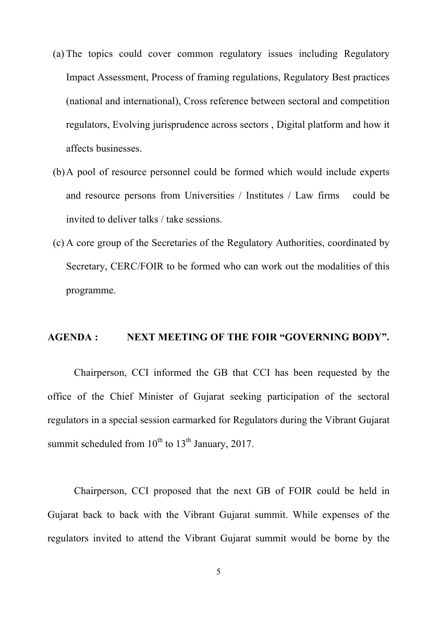- (a) The topics could cover common regulatory issues including Regulatory Impact Assessment, Process of framing regulations, Regulatory Best practices (national and international), Cross reference between sectoral and competition regulators, Evolving jurisprudence across sectors , Digital platform and how it affects businesses.
- (b)A pool of resource personnel could be formed which would include experts and resource persons from Universities / Institutes / Law firms could be invited to deliver talks / take sessions.
- (c) A core group of the Secretaries of the Regulatory Authorities, coordinated by Secretary, CERC/FOIR to be formed who can work out the modalities of this programme.

#### **AGENDA : NEXT MEETING OF THE FOIR "GOVERNING BODY".**

Chairperson, CCI informed the GB that CCI has been requested by the office of the Chief Minister of Gujarat seeking participation of the sectoral regulators in a special session earmarked for Regulators during the Vibrant Gujarat summit scheduled from  $10^{th}$  to  $13^{th}$  January, 2017.

Chairperson, CCI proposed that the next GB of FOIR could be held in Gujarat back to back with the Vibrant Gujarat summit. While expenses of the regulators invited to attend the Vibrant Gujarat summit would be borne by the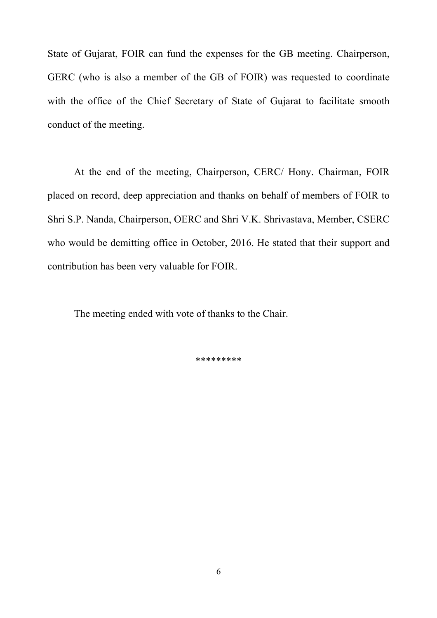State of Gujarat, FOIR can fund the expenses for the GB meeting. Chairperson, GERC (who is also a member of the GB of FOIR) was requested to coordinate with the office of the Chief Secretary of State of Gujarat to facilitate smooth conduct of the meeting.

At the end of the meeting, Chairperson, CERC/ Hony. Chairman, FOIR placed on record, deep appreciation and thanks on behalf of members of FOIR to Shri S.P. Nanda, Chairperson, OERC and Shri V.K. Shrivastava, Member, CSERC who would be demitting office in October, 2016. He stated that their support and contribution has been very valuable for FOIR.

The meeting ended with vote of thanks to the Chair.

\*\*\*\*\*\*\*\*\*